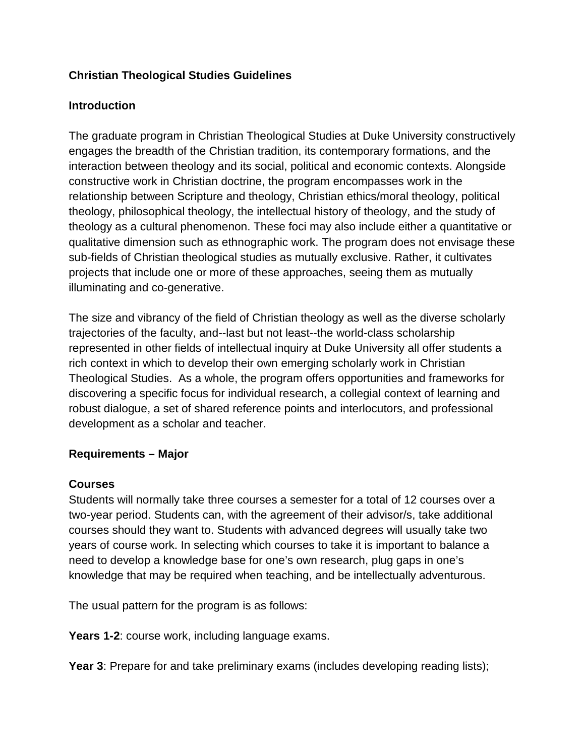## **Christian Theological Studies Guidelines**

#### **Introduction**

The graduate program in Christian Theological Studies at Duke University constructively engages the breadth of the Christian tradition, its contemporary formations, and the interaction between theology and its social, political and economic contexts. Alongside constructive work in Christian doctrine, the program encompasses work in the relationship between Scripture and theology, Christian ethics/moral theology, political theology, philosophical theology, the intellectual history of theology, and the study of theology as a cultural phenomenon. These foci may also include either a quantitative or qualitative dimension such as ethnographic work. The program does not envisage these sub-fields of Christian theological studies as mutually exclusive. Rather, it cultivates projects that include one or more of these approaches, seeing them as mutually illuminating and co-generative.

The size and vibrancy of the field of Christian theology as well as the diverse scholarly trajectories of the faculty, and--last but not least--the world-class scholarship represented in other fields of intellectual inquiry at Duke University all offer students a rich context in which to develop their own emerging scholarly work in Christian Theological Studies. As a whole, the program offers opportunities and frameworks for discovering a specific focus for individual research, a collegial context of learning and robust dialogue, a set of shared reference points and interlocutors, and professional development as a scholar and teacher.

#### **Requirements – Major**

#### **Courses**

Students will normally take three courses a semester for a total of 12 courses over a two-year period. Students can, with the agreement of their advisor/s, take additional courses should they want to. Students with advanced degrees will usually take two years of course work. In selecting which courses to take it is important to balance a need to develop a knowledge base for one's own research, plug gaps in one's knowledge that may be required when teaching, and be intellectually adventurous.

The usual pattern for the program is as follows:

**Years 1-2**: course work, including language exams.

**Year 3**: Prepare for and take preliminary exams (includes developing reading lists);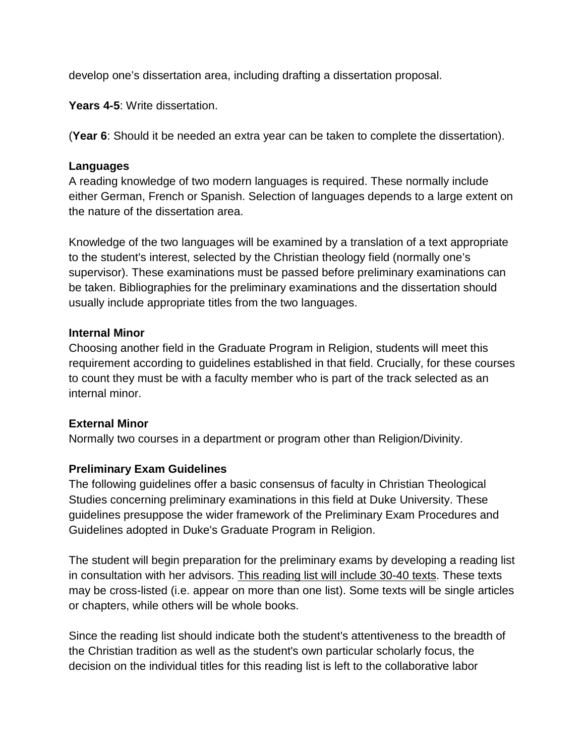develop one's dissertation area, including drafting a dissertation proposal.

**Years 4-5**: Write dissertation.

(**Year 6**: Should it be needed an extra year can be taken to complete the dissertation).

#### **Languages**

A reading knowledge of two modern languages is required. These normally include either German, French or Spanish. Selection of languages depends to a large extent on the nature of the dissertation area.

Knowledge of the two languages will be examined by a translation of a text appropriate to the student's interest, selected by the Christian theology field (normally one's supervisor). These examinations must be passed before preliminary examinations can be taken. Bibliographies for the preliminary examinations and the dissertation should usually include appropriate titles from the two languages.

#### **Internal Minor**

Choosing another field in the Graduate Program in Religion, students will meet this requirement according to guidelines established in that field. Crucially, for these courses to count they must be with a faculty member who is part of the track selected as an internal minor.

### **External Minor**

Normally two courses in a department or program other than Religion/Divinity.

### **Preliminary Exam Guidelines**

The following guidelines offer a basic consensus of faculty in Christian Theological Studies concerning preliminary examinations in this field at Duke University. These guidelines presuppose the wider framework of the Preliminary Exam Procedures and Guidelines adopted in Duke's Graduate Program in Religion.

The student will begin preparation for the preliminary exams by developing a reading list in consultation with her advisors. This reading list will include 30-40 texts. These texts may be cross-listed (i.e. appear on more than one list). Some texts will be single articles or chapters, while others will be whole books.

Since the reading list should indicate both the student's attentiveness to the breadth of the Christian tradition as well as the student's own particular scholarly focus, the decision on the individual titles for this reading list is left to the collaborative labor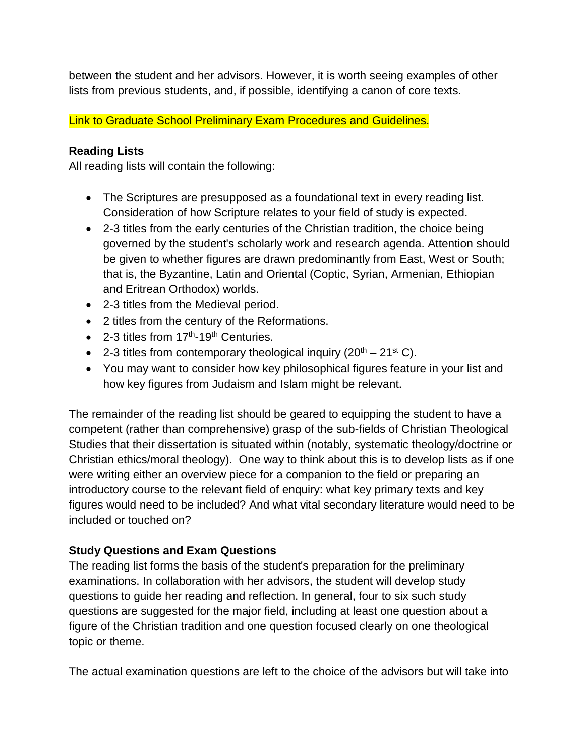between the student and her advisors. However, it is worth seeing examples of other lists from previous students, and, if possible, identifying a canon of core texts.

Link to Graduate School Preliminary Exam Procedures and Guidelines.

# **Reading Lists**

All reading lists will contain the following:

- The Scriptures are presupposed as a foundational text in every reading list. Consideration of how Scripture relates to your field of study is expected.
- 2-3 titles from the early centuries of the Christian tradition, the choice being governed by the student's scholarly work and research agenda. Attention should be given to whether figures are drawn predominantly from East, West or South; that is, the Byzantine, Latin and Oriental (Coptic, Syrian, Armenian, Ethiopian and Eritrean Orthodox) worlds.
- 2-3 titles from the Medieval period.
- 2 titles from the century of the Reformations.
- 2-3 titles from  $17<sup>th</sup>$ -19<sup>th</sup> Centuries.
- 2-3 titles from contemporary theological inquiry  $(20<sup>th</sup> 21<sup>st</sup> C)$ .
- You may want to consider how key philosophical figures feature in your list and how key figures from Judaism and Islam might be relevant.

The remainder of the reading list should be geared to equipping the student to have a competent (rather than comprehensive) grasp of the sub-fields of Christian Theological Studies that their dissertation is situated within (notably, systematic theology/doctrine or Christian ethics/moral theology). One way to think about this is to develop lists as if one were writing either an overview piece for a companion to the field or preparing an introductory course to the relevant field of enquiry: what key primary texts and key figures would need to be included? And what vital secondary literature would need to be included or touched on?

# **Study Questions and Exam Questions**

The reading list forms the basis of the student's preparation for the preliminary examinations. In collaboration with her advisors, the student will develop study questions to guide her reading and reflection. In general, four to six such study questions are suggested for the major field, including at least one question about a figure of the Christian tradition and one question focused clearly on one theological topic or theme.

The actual examination questions are left to the choice of the advisors but will take into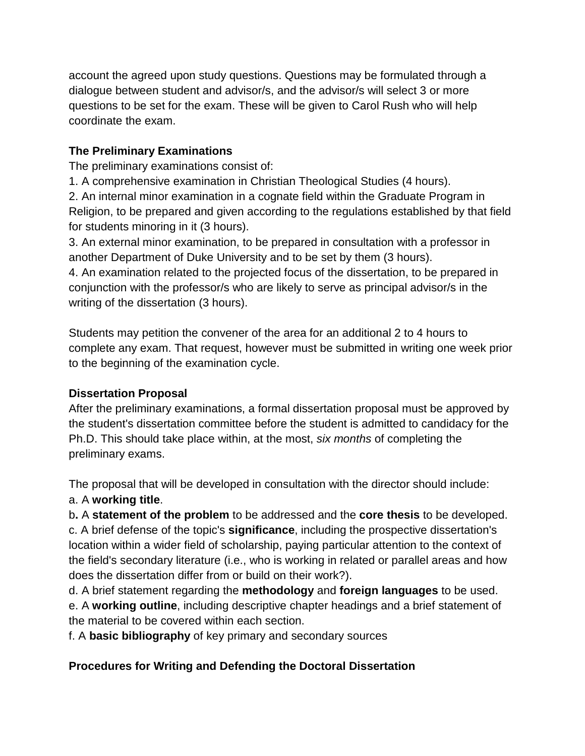account the agreed upon study questions. Questions may be formulated through a dialogue between student and advisor/s, and the advisor/s will select 3 or more questions to be set for the exam. These will be given to Carol Rush who will help coordinate the exam.

## **The Preliminary Examinations**

The preliminary examinations consist of:

1. A comprehensive examination in Christian Theological Studies (4 hours).

2. An internal minor examination in a cognate field within the Graduate Program in Religion, to be prepared and given according to the regulations established by that field for students minoring in it (3 hours).

3. An external minor examination, to be prepared in consultation with a professor in another Department of Duke University and to be set by them (3 hours).

4. An examination related to the projected focus of the dissertation, to be prepared in conjunction with the professor/s who are likely to serve as principal advisor/s in the writing of the dissertation (3 hours).

Students may petition the convener of the area for an additional 2 to 4 hours to complete any exam. That request, however must be submitted in writing one week prior to the beginning of the examination cycle.

## **Dissertation Proposal**

After the preliminary examinations, a formal dissertation proposal must be approved by the student's dissertation committee before the student is admitted to candidacy for the Ph.D. This should take place within, at the most, *six months* of completing the preliminary exams.

The proposal that will be developed in consultation with the director should include: a. A **working title**.

b**.** A **statement of the problem** to be addressed and the **core thesis** to be developed. c. A brief defense of the topic's **significance**, including the prospective dissertation's location within a wider field of scholarship, paying particular attention to the context of the field's secondary literature (i.e., who is working in related or parallel areas and how does the dissertation differ from or build on their work?).

d. A brief statement regarding the **methodology** and **foreign languages** to be used. e. A **working outline**, including descriptive chapter headings and a brief statement of the material to be covered within each section.

f. A **basic bibliography** of key primary and secondary sources

# **Procedures for Writing and Defending the Doctoral Dissertation**